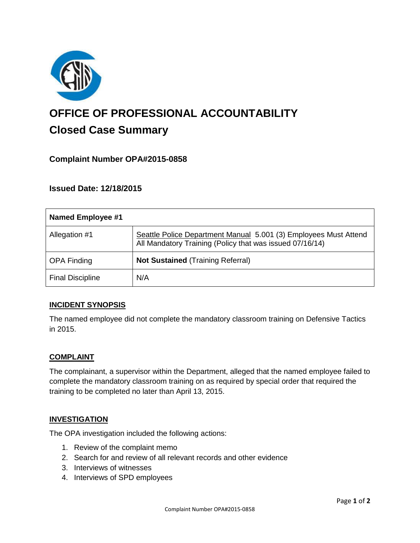

# **OFFICE OF PROFESSIONAL ACCOUNTABILITY Closed Case Summary**

# **Complaint Number OPA#2015-0858**

# **Issued Date: 12/18/2015**

| <b>Named Employee #1</b> |                                                                                                                              |
|--------------------------|------------------------------------------------------------------------------------------------------------------------------|
| Allegation #1            | Seattle Police Department Manual 5.001 (3) Employees Must Attend<br>All Mandatory Training (Policy that was issued 07/16/14) |
| <b>OPA Finding</b>       | <b>Not Sustained (Training Referral)</b>                                                                                     |
| <b>Final Discipline</b>  | N/A                                                                                                                          |

## **INCIDENT SYNOPSIS**

The named employee did not complete the mandatory classroom training on Defensive Tactics in 2015.

## **COMPLAINT**

The complainant, a supervisor within the Department, alleged that the named employee failed to complete the mandatory classroom training on as required by special order that required the training to be completed no later than April 13, 2015.

#### **INVESTIGATION**

The OPA investigation included the following actions:

- 1. Review of the complaint memo
- 2. Search for and review of all relevant records and other evidence
- 3. Interviews of witnesses
- 4. Interviews of SPD employees